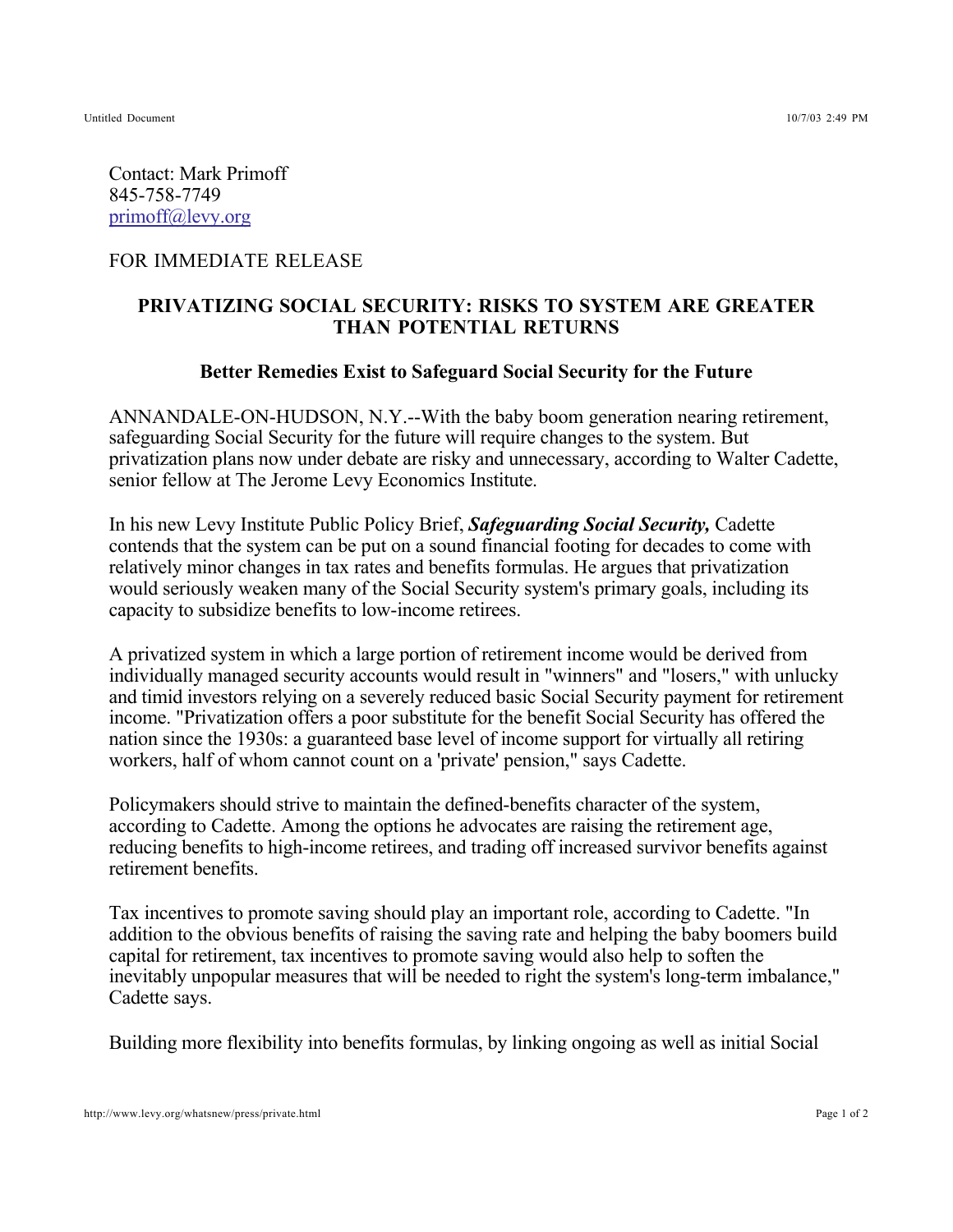Untitled Document 10/7/03 2:49 PM

Contact: Mark Primoff 845-758-7749 primoff@levy.org

## FOR IMMEDIATE RELEASE

## **PRIVATIZING SOCIAL SECURITY: RISKS TO SYSTEM ARE GREATER THAN POTENTIAL RETURNS**

## **Better Remedies Exist to Safeguard Social Security for the Future**

ANNANDALE-ON-HUDSON, N.Y.--With the baby boom generation nearing retirement, safeguarding Social Security for the future will require changes to the system. But privatization plans now under debate are risky and unnecessary, according to Walter Cadette, senior fellow at The Jerome Levy Economics Institute.

In his new Levy Institute Public Policy Brief, Safeguarding Social Security, Cadette contends that the system can be put on a sound financial footing for decades to come with relatively minor changes in tax rates and benefits formulas. He argues that privatization would seriously weaken many of the Social Security system's primary goals, including its capacity to subsidize benefits to low-income retirees.

A privatized system in which a large portion of retirement income would be derived from individually managed security accounts would result in "winners" and "losers," with unlucky and timid investors relying on a severely reduced basic Social Security payment for retirement income. "Privatization offers a poor substitute for the benefit Social Security has offered the nation since the 1930s: a guaranteed base level of income support for virtually all retiring workers, half of whom cannot count on a 'private' pension," says Cadette.

Policymakers should strive to maintain the defined-benefits character of the system, according to Cadette. Among the options he advocates are raising the retirement age, reducing benefits to high-income retirees, and trading off increased survivor benefits against retirement benefits.

Tax incentives to promote saving should play an important role, according to Cadette. "In addition to the obvious benefits of raising the saving rate and helping the baby boomers build capital for retirement, tax incentives to promote saving would also help to soften the inevitably unpopular measures that will be needed to right the system's long-term imbalance," Cadette says.

Building more flexibility into benefits formulas, by linking ongoing as well as initial Social